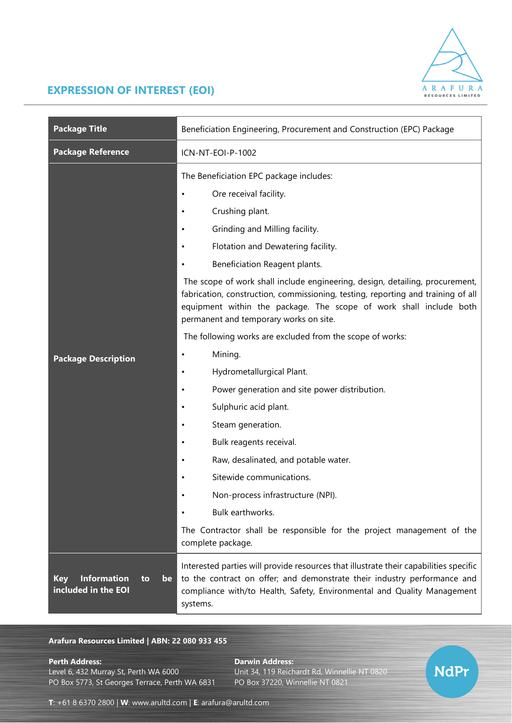

## **EXPRESSION OF INTEREST (EOI)**

| <b>Package Title</b>                                                | Beneficiation Engineering, Procurement and Construction (EPC) Package                                                                                                                                                                                                                                                                                                                                                                                                                                                                                                                                                                                                                                                                                                                                                                                                                                                                       |
|---------------------------------------------------------------------|---------------------------------------------------------------------------------------------------------------------------------------------------------------------------------------------------------------------------------------------------------------------------------------------------------------------------------------------------------------------------------------------------------------------------------------------------------------------------------------------------------------------------------------------------------------------------------------------------------------------------------------------------------------------------------------------------------------------------------------------------------------------------------------------------------------------------------------------------------------------------------------------------------------------------------------------|
| <b>Package Reference</b>                                            | ICN-NT-EOI-P-1002                                                                                                                                                                                                                                                                                                                                                                                                                                                                                                                                                                                                                                                                                                                                                                                                                                                                                                                           |
| <b>Package Description</b>                                          | The Beneficiation EPC package includes:<br>Ore receival facility.<br>Crushing plant.<br>Grinding and Milling facility.<br>Flotation and Dewatering facility.<br>Beneficiation Reagent plants.<br>The scope of work shall include engineering, design, detailing, procurement,<br>fabrication, construction, commissioning, testing, reporting and training of all<br>equipment within the package. The scope of work shall include both<br>permanent and temporary works on site.<br>The following works are excluded from the scope of works:<br>Mining.<br>Hydrometallurgical Plant.<br>Power generation and site power distribution.<br>Sulphuric acid plant.<br>Steam generation.<br>Bulk reagents receival.<br>Raw, desalinated, and potable water.<br>Sitewide communications.<br>Non-process infrastructure (NPI).<br>Bulk earthworks.<br>The Contractor shall be responsible for the project management of the<br>complete package. |
| <b>Information</b><br><b>Key</b><br>to<br>be<br>included in the EOI | Interested parties will provide resources that illustrate their capabilities specific<br>to the contract on offer; and demonstrate their industry performance and<br>compliance with/to Health, Safety, Environmental and Quality Management<br>systems.                                                                                                                                                                                                                                                                                                                                                                                                                                                                                                                                                                                                                                                                                    |

## **Arafura Resources Limited | ABN: 22 080 933 455**

**Perth Address: Darwin Address:** PO Box 5773, St Georges Terrace, Perth WA 6831

Unit 34, 119 Reichardt Rd, Winnellie NT 0820<br>PO Box 37220, Winnellie NT 0821



**T**: +61 8 6370 2800 | **W**: [www.arultd.com](http://www.arultd.com/) | **E**: [arafura@arultd.com](mailto:arafura@arultd.com)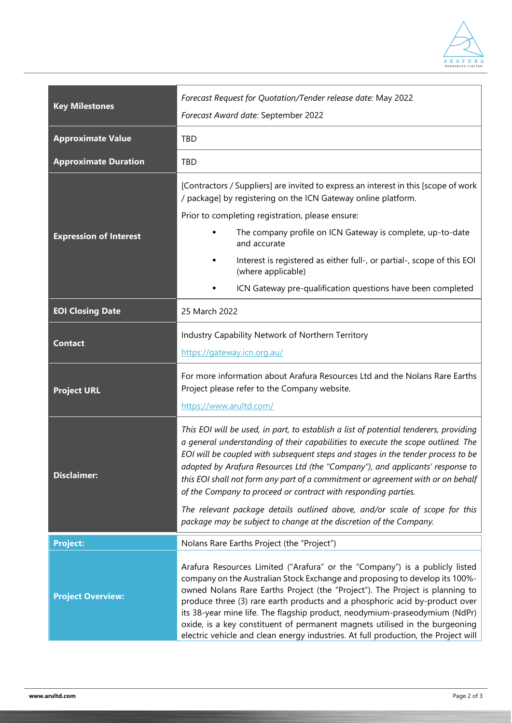

| <b>Key Milestones</b>         | Forecast Request for Quotation/Tender release date: May 2022<br>Forecast Award date: September 2022                                                                                                                                                                                                                                                                                                                                                                                                                                                                                                                                                      |
|-------------------------------|----------------------------------------------------------------------------------------------------------------------------------------------------------------------------------------------------------------------------------------------------------------------------------------------------------------------------------------------------------------------------------------------------------------------------------------------------------------------------------------------------------------------------------------------------------------------------------------------------------------------------------------------------------|
| <b>Approximate Value</b>      | TBD                                                                                                                                                                                                                                                                                                                                                                                                                                                                                                                                                                                                                                                      |
| <b>Approximate Duration</b>   | <b>TBD</b>                                                                                                                                                                                                                                                                                                                                                                                                                                                                                                                                                                                                                                               |
| <b>Expression of Interest</b> | [Contractors / Suppliers] are invited to express an interest in this [scope of work<br>/ package] by registering on the ICN Gateway online platform.                                                                                                                                                                                                                                                                                                                                                                                                                                                                                                     |
|                               | Prior to completing registration, please ensure:                                                                                                                                                                                                                                                                                                                                                                                                                                                                                                                                                                                                         |
|                               | The company profile on ICN Gateway is complete, up-to-date<br>and accurate                                                                                                                                                                                                                                                                                                                                                                                                                                                                                                                                                                               |
|                               | Interest is registered as either full-, or partial-, scope of this EOI<br>٠<br>(where applicable)                                                                                                                                                                                                                                                                                                                                                                                                                                                                                                                                                        |
|                               | ICN Gateway pre-qualification questions have been completed                                                                                                                                                                                                                                                                                                                                                                                                                                                                                                                                                                                              |
| <b>EOI Closing Date</b>       | 25 March 2022                                                                                                                                                                                                                                                                                                                                                                                                                                                                                                                                                                                                                                            |
| <b>Contact</b>                | Industry Capability Network of Northern Territory                                                                                                                                                                                                                                                                                                                                                                                                                                                                                                                                                                                                        |
|                               | https://gateway.icn.org.au/                                                                                                                                                                                                                                                                                                                                                                                                                                                                                                                                                                                                                              |
| <b>Project URL</b>            | For more information about Arafura Resources Ltd and the Nolans Rare Earths<br>Project please refer to the Company website.<br>https://www.arultd.com/                                                                                                                                                                                                                                                                                                                                                                                                                                                                                                   |
| <b>Disclaimer:</b>            | This EOI will be used, in part, to establish a list of potential tenderers, providing<br>a general understanding of their capabilities to execute the scope outlined. The<br>EOI will be coupled with subsequent steps and stages in the tender process to be<br>adopted by Arafura Resources Ltd (the "Company"), and applicants' response to<br>this EOI shall not form any part of a commitment or agreement with or on behalf<br>of the Company to proceed or contract with responding parties.<br>The relevant package details outlined above, and/or scale of scope for this<br>package may be subject to change at the discretion of the Company. |
| <b>Project:</b>               | Nolans Rare Earths Project (the "Project")                                                                                                                                                                                                                                                                                                                                                                                                                                                                                                                                                                                                               |
| <b>Project Overview:</b>      | Arafura Resources Limited ("Arafura" or the "Company") is a publicly listed<br>company on the Australian Stock Exchange and proposing to develop its 100%-<br>owned Nolans Rare Earths Project (the "Project"). The Project is planning to<br>produce three (3) rare earth products and a phosphoric acid by-product over<br>its 38-year mine life. The flagship product, neodymium-praseodymium (NdPr)<br>oxide, is a key constituent of permanent magnets utilised in the burgeoning<br>electric vehicle and clean energy industries. At full production, the Project will                                                                             |